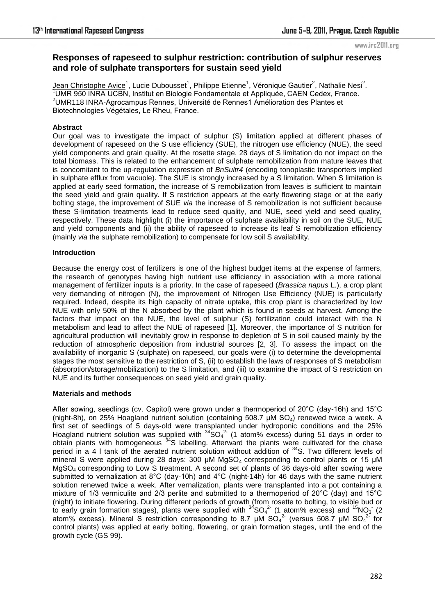# **Responses of rapeseed to sulphur restriction: contribution of sulphur reserves and role of sulphate transporters for sustain seed yield**

Jean Christophe Avice<sup>1</sup>, Lucie Dubousset<sup>1</sup>, Philippe Etienne<sup>1</sup>, Véronique Gautier<sup>2</sup>, Nathalie Nesi<sup>2</sup>. <sup>1</sup>UMR 950 INRA UCBN, Institut en Biologie Fondamentale et Appliquée, CAEN Cedex, France. <sup>2</sup>UMR118 INRA-Agrocampus Rennes, Université de Rennes1 Amélioration des Plantes et Biotechnologies Végétales, Le Rheu, France.

## **Abstract**

Our goal was to investigate the impact of sulphur (S) limitation applied at different phases of development of rapeseed on the S use efficiency (SUE), the nitrogen use efficiency (NUE), the seed yield components and grain quality. At the rosette stage, 28 days of S limitation do not impact on the total biomass. This is related to the enhancement of sulphate remobilization from mature leaves that is concomitant to the up-regulation expression of *BnSultr4* (encoding tonoplastic transporters implied in sulphate efflux from vacuole). The SUE is strongly increased by a S limitation. When S limitation is applied at early seed formation, the increase of S remobilization from leaves is sufficient to maintain the seed yield and grain quality. If S restriction appears at the early flowering stage or at the early bolting stage, the improvement of SUE *via* the increase of S remobilization is not sufficient because these S-limitation treatments lead to reduce seed quality, and NUE, seed yield and seed quality, respectively. These data highlight (i) the importance of sulphate availability in soil on the SUE, NUE and yield components and (ii) the ability of rapeseed to increase its leaf S remobilization efficiency (mainly *via* the sulphate remobilization) to compensate for low soil S availability.

## **Introduction**

Because the energy cost of fertilizers is one of the highest budget items at the expense of farmers, the research of genotypes having high nutrient use efficiency in association with a more rational management of fertilizer inputs is a priority. In the case of rapeseed (*Brassica napus* L.), a crop plant very demanding of nitrogen (N), the improvement of Nitrogen Use Efficiency (NUE) is particularly required. Indeed, despite its high capacity of nitrate uptake, this crop plant is characterized by low NUE with only 50% of the N absorbed by the plant which is found in seeds at harvest. Among the factors that impact on the NUE, the level of sulphur (S) fertilization could interact with the N metabolism and lead to affect the NUE of rapeseed [1]. Moreover, the importance of S nutrition for agricultural production will inevitably grow in response to depletion of S in soil caused mainly by the reduction of atmospheric deposition from industrial sources [2, 3]. To assess the impact on the availability of inorganic S (sulphate) on rapeseed, our goals were (i) to determine the developmental stages the most sensitive to the restriction of S, (ii) to establish the laws of responses of S metabolism (absorption/storage/mobilization) to the S limitation, and (iii) to examine the impact of S restriction on NUE and its further consequences on seed yield and grain quality.

## **Materials and methods**

After sowing, seedlings (cv. Capitol) were grown under a thermoperiod of 20°C (day-16h) and 15°C (night-8h), on 25% Hoagland nutrient solution (containing 508.7  $\mu$ M SO<sub>4</sub>) renewed twice a week. A first set of seedlings of 5 days-old were transplanted under hydroponic conditions and the 25% Hoagland nutrient solution was supplied with  $34SO_4^2$  (1 atom% excess) during 51 days in order to obtain plants with homogeneous <sup>34</sup>S labelling. Afterward the plants were cultivated for the chase period in a 4 I tank of the aerated nutrient solution without addition of <sup>34</sup>S. Two different levels of mineral S were applied during 28 days: 300  $\mu$ M MgSO<sub>4</sub> corresponding to control plants or 15  $\mu$ M MgSO4 corresponding to Low S treatment. A second set of plants of 36 days-old after sowing were submitted to vernalization at 8°C (day-10h) and 4°C (night-14h) for 46 days with the same nutrient solution renewed twice a week. After vernalization, plants were transplanted into a pot containing a mixture of 1/3 vermiculite and 2/3 perlite and submitted to a thermoperiod of 20°C (day) and 15°C (night) to initiate flowering. During different periods of growth (from rosette to bolting, to visible bud or to early grain formation stages), plants were supplied with  $34$  SO<sub>4</sub><sup>2</sup> (1 atom% excess) and  $15$ NO<sub>3</sub> (2 atom% excess). Mineral S restriction corresponding to 8.7  $\mu$ M SO<sub>4</sub><sup>2</sup> (versus 508.7  $\mu$ M SO<sub>4</sub> 2- for control plants) was applied at early bolting, flowering, or grain formation stages, until the end of the growth cycle (GS 99).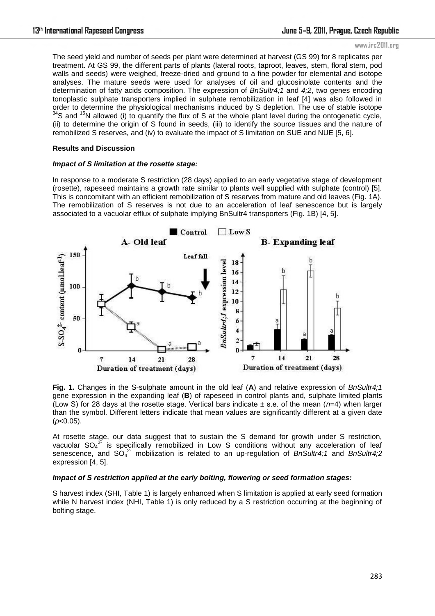The seed yield and number of seeds per plant were determined at harvest (GS 99) for 8 replicates per treatment. At GS 99, the different parts of plants (lateral roots, taproot, leaves, stem, floral stem, pod walls and seeds) were weighed, freeze-dried and ground to a fine powder for elemental and isotope analyses. The mature seeds were used for analyses of oil and glucosinolate contents and the determination of fatty acids composition. The expression of *BnSultr4;1* and *4;2*, two genes encoding tonoplastic sulphate transporters implied in sulphate remobilization in leaf [4] was also followed in order to determine the physiological mechanisms induced by S depletion. The use of stable isotope  $34$ S and  $15$ N allowed (i) to quantify the flux of S at the whole plant level during the ontogenetic cycle, (ii) to determine the origin of S found in seeds, (iii) to identify the source tissues and the nature of remobilized S reserves, and (iv) to evaluate the impact of S limitation on SUE and NUE [5, 6].

#### **Results and Discussion**

#### *Impact of S limitation at the rosette stage:*

In response to a moderate S restriction (28 days) applied to an early vegetative stage of development (rosette), rapeseed maintains a growth rate similar to plants well supplied with sulphate (control) [5]. This is concomitant with an efficient remobilization of S reserves from mature and old leaves (Fig. 1A). The remobilization of S reserves is not due to an acceleration of leaf senescence but is largely associated to a vacuolar efflux of sulphate implying BnSultr4 transporters (Fig. 1B) [4, 5].



**Fig. 1.** Changes in the S-sulphate amount in the old leaf (**A**) and relative expression of *BnSultr4;1* gene expression in the expanding leaf (**B**) of rapeseed in control plants and, sulphate limited plants (Low S) for 28 days at the rosette stage. Vertical bars indicate ± s.e. of the mean (*n*=4) when larger than the symbol. Different letters indicate that mean values are significantly different at a given date (*p*<0.05).

At rosette stage, our data suggest that to sustain the S demand for growth under S restriction, vacuolar  $SO_4^2$  is specifically remobilized in Low S conditions without any acceleration of leaf senescence, and SO<sub>4</sub><sup>2</sup> mobilization is related to an up-regulation of *BnSultr4;1* and *BnSultr4;2* expression [4, 5].

#### *Impact of S restriction applied at the early bolting, flowering or seed formation stages:*

S harvest index (SHI, Table 1) is largely enhanced when S limitation is applied at early seed formation while N harvest index (NHI, Table 1) is only reduced by a S restriction occurring at the beginning of bolting stage.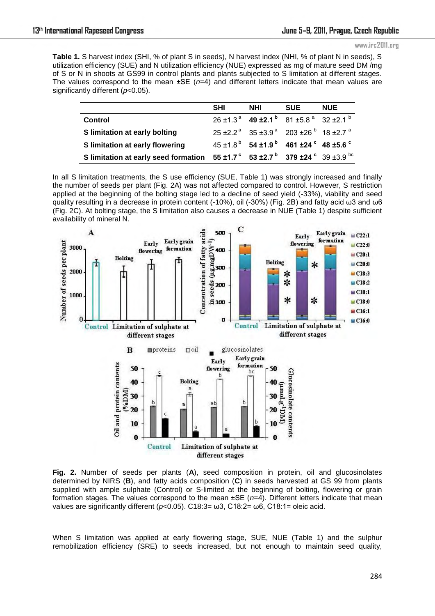**Table 1.** S harvest index (SHI, % of plant S in seeds), N harvest index (NHI, % of plant N in seeds), S utilization efficiency (SUE) and N utilization efficiency (NUE) expressed as mg of mature seed DM /mg of S or N in shoots at GS99 in control plants and plants subjected to S limitation at different stages. The values correspond to the mean ±SE (*n*=4) and different letters indicate that mean values are significantly different (*p*<0.05).

|                                                                                                   | <b>SHI</b> | <b>NHI</b> | <b>SUE</b>                                                                                      | <b>NUE</b> |
|---------------------------------------------------------------------------------------------------|------------|------------|-------------------------------------------------------------------------------------------------|------------|
| <b>Control</b>                                                                                    |            |            | $26 \pm 1.3^{\text{a}}$ 49 $\pm 2.1^{\text{b}}$ 81 $\pm 5.8^{\text{a}}$ 32 $\pm 2.1^{\text{b}}$ |            |
| S limitation at early bolting                                                                     |            |            | $25 \pm 2.2^{\circ}$ 35 $\pm 3.9^{\circ}$ 203 $\pm 26^{\circ}$ 18 $\pm 2.7^{\circ}$             |            |
| S limitation at early flowering                                                                   |            |            | $45 \pm 1.8^{\circ}$ 54 $\pm 1.9^{\circ}$ 461 $\pm 24^{\circ}$ 48 $\pm 5.6^{\circ}$             |            |
| S limitation at early seed formation 55 ±1.7° 53 ±2.7 <sup>b</sup> 379 ±24° 39 ±3.9 <sup>bc</sup> |            |            |                                                                                                 |            |

In all S limitation treatments, the S use efficiency (SUE, Table 1) was strongly increased and finally the number of seeds per plant (Fig. 2A) was not affected compared to control. However, S restriction applied at the beginning of the bolting stage led to a decline of seed yield (-33%), viability and seed quality resulting in a decrease in protein content (-10%), oil (-30%) (Fig. 2B) and fatty acid ω3 and ω6 (Fig. 2C). At bolting stage, the S limitation also causes a decrease in NUE (Table 1) despite sufficient availability of mineral N.



**Fig. 2.** Number of seeds per plants (**A**), seed composition in protein, oil and glucosinolates determined by NIRS (**B**), and fatty acids composition (**C**) in seeds harvested at GS 99 from plants supplied with ample sulphate (Control) or S-limited at the beginning of bolting, flowering or grain formation stages. The values correspond to the mean ±SE (*n*=4). Different letters indicate that mean values are significantly different (*p*<0.05). C18:3= ω3, C18:2= ω6, C18:1= oleic acid.

When S limitation was applied at early flowering stage, SUE, NUE (Table 1) and the sulphur remobilization efficiency (SRE) to seeds increased, but not enough to maintain seed quality,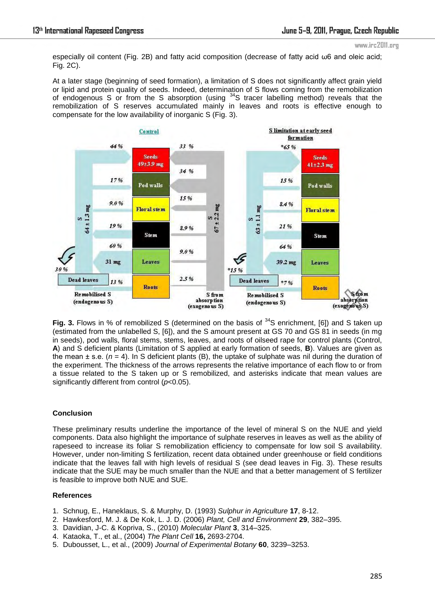especially oil content (Fig. 2B) and fatty acid composition (decrease of fatty acid ω6 and oleic acid; Fig. 2C).

At a later stage (beginning of seed formation), a limitation of S does not significantly affect grain yield or lipid and protein quality of seeds. Indeed, determination of S flows coming from the remobilization of endogenous S or from the S absorption (using  $34S$  tracer labelling method) reveals that the remobilization of S reserves accumulated mainly in leaves and roots is effective enough to compensate for the low availability of inorganic S (Fig. 3).



Fig. 3. Flows in % of remobilized S (determined on the basis of <sup>34</sup>S enrichment, [6]) and S taken up (estimated from the unlabelled S, [6]), and the S amount present at GS 70 and GS 81 in seeds (in mg in seeds), pod walls, floral stems, stems, leaves, and roots of oilseed rape for control plants (Control, **A**) and S deficient plants (Limitation of S applied at early formation of seeds, **B**). Values are given as the mean ± s.e. (*n* = 4). In S deficient plants (B), the uptake of sulphate was nil during the duration of the experiment. The thickness of the arrows represents the relative importance of each flow to or from a tissue related to the S taken up or S remobilized, and asterisks indicate that mean values are significantly different from control (*p*<0.05).

# **Conclusion**

These preliminary results underline the importance of the level of mineral S on the NUE and yield components. Data also highlight the importance of sulphate reserves in leaves as well as the ability of rapeseed to increase its foliar S remobilization efficiency to compensate for low soil S availability. However, under non-limiting S fertilization, recent data obtained under greenhouse or field conditions indicate that the leaves fall with high levels of residual S (see dead leaves in Fig. 3). These results indicate that the SUE may be much smaller than the NUE and that a better management of S fertilizer is feasible to improve both NUE and SUE.

## **References**

- 1. Schnug, E., Haneklaus, S. & Murphy, D. (1993) *Sulphur in Agriculture* **17**, 8-12.
- 2. Hawkesford, M. J. & De Kok, L. J. D. (2006) *Plant, Cell and Environment* **29**, 382–395.
- 3. Davidian, J-C. & Kopriva, S., (2010) *Molecular Plant* **3**, 314–325.
- 4. Kataoka, T., et al., (2004) *The Plant Cell* **16,** 2693-2704.
- 5. Dubousset, L., et al., (2009) *Journal of Experimental Botany* **60**, 3239–3253.